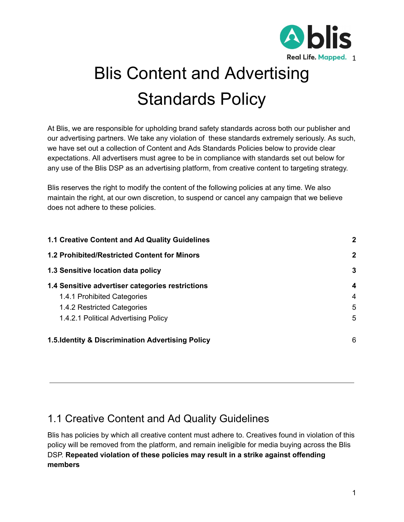

# Blis Content and Advertising Standards Policy

At Blis, we are responsible for upholding brand safety standards across both our publisher and our advertising partners. We take any violation of these standards extremely seriously. As such, we have set out a collection of Content and Ads Standards Policies below to provide clear expectations. All advertisers must agree to be in compliance with standards set out below for any use of the Blis DSP as an advertising platform, from creative content to targeting strategy.

Blis reserves the right to modify the content of the following policies at any time. We also maintain the right, at our own discretion, to suspend or cancel any campaign that we believe does not adhere to these policies.

| 1.1 Creative Content and Ad Quality Guidelines      | $\mathbf{2}$ |
|-----------------------------------------------------|--------------|
| <b>1.2 Prohibited/Restricted Content for Minors</b> | $\mathbf{2}$ |
| 1.3 Sensitive location data policy                  | 3            |
| 1.4 Sensitive advertiser categories restrictions    | 4            |
| 1.4.1 Prohibited Categories                         | 4            |
| 1.4.2 Restricted Categories                         | 5            |
| 1.4.2.1 Political Advertising Policy                | 5            |
| 1.5. Identity & Discrimination Advertising Policy   | 6            |

# 1.1 Creative Content and Ad Quality Guidelines

Blis has policies by which all creative content must adhere to. Creatives found in violation of this policy will be removed from the platform, and remain ineligible for media buying across the Blis DSP. **Repeated violation of these policies may result in a strike against offending members**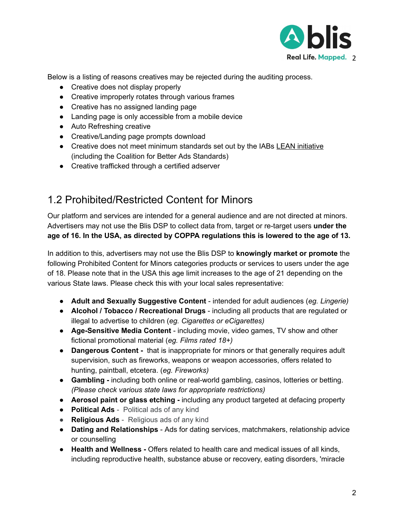

Below is a listing of reasons creatives may be rejected during the auditing process.

- Creative does not display properly
- Creative improperly rotates through various frames
- Creative has no assigned landing page
- Landing page is only accessible from a mobile device
- Auto Refreshing creative
- Creative/Landing page prompts download
- Creative does not meet minimum standards set out by the IABs LEAN [initiative](https://www.iabuk.com/content-hub/9523) (including the Coalition for Better Ads Standards)
- Creative trafficked through a certified adserver

# <span id="page-1-0"></span>1.2 Prohibited/Restricted Content for Minors

Our platform and services are intended for a general audience and are not directed at minors. Advertisers may not use the Blis DSP to collect data from, target or re-target users **under the age of 16. In the USA, as directed by COPPA regulations this is lowered to the age of 13.**

In addition to this, advertisers may not use the Blis DSP to **knowingly market or promote** the following Prohibited Content for Minors categories products or services to users under the age of 18. Please note that in the USA this age limit increases to the age of 21 depending on the various State laws. Please check this with your local sales representative:

- **Adult and Sexually Suggestive Content** intended for adult audiences (*eg. Lingerie)*
- **Alcohol / Tobacco / Recreational Drugs** including all products that are regulated or illegal to advertise to children (*eg. Cigarettes or eCigarettes)*
- **Age-Sensitive Media Content** including movie, video games, TV show and other fictional promotional material (*eg. Films rated 18+)*
- **Dangerous Content -** that is inappropriate for minors or that generally requires adult supervision, such as fireworks, weapons or weapon accessories, offers related to hunting, paintball, etcetera. (*eg. Fireworks)*
- **Gambling -** including both online or real-world gambling, casinos, lotteries or betting. *(Please check various state laws for appropriate restrictions)*
- **Aerosol paint or glass etching -** including any product targeted at defacing property
- **Political Ads** Political ads of any kind
- **Religious Ads** Religious ads of any kind
- **Dating and Relationships** Ads for dating services, matchmakers, relationship advice or counselling
- **Health and Wellness -** Offers related to health care and medical issues of all kinds, including reproductive health, substance abuse or recovery, eating disorders, 'miracle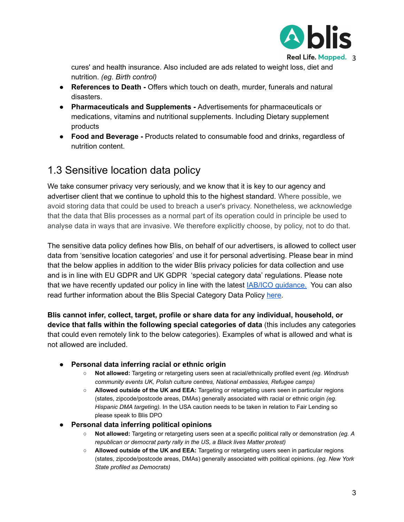

cures' and health insurance. Also included are ads related to weight loss, diet and nutrition. *(eg. Birth control)*

- **References to Death -** Offers which touch on death, murder, funerals and natural disasters.
- **Pharmaceuticals and Supplements -** Advertisements for pharmaceuticals or medications, vitamins and nutritional supplements. Including Dietary supplement products
- **Food and Beverage -** Products related to consumable food and drinks, regardless of nutrition content.

# <span id="page-2-0"></span>1.3 Sensitive location data policy

We take consumer privacy very seriously, and we know that it is key to our agency and advertiser client that we continue to uphold this to the highest standard. Where possible, we avoid storing data that could be used to breach a user's privacy. Nonetheless, we acknowledge that the data that Blis processes as a normal part of its operation could in principle be used to analyse data in ways that are invasive. We therefore explicitly choose, by policy, not to do that.

The sensitive data policy defines how Blis, on behalf of our advertisers, is allowed to collect user data from 'sensitive location categories' and use it for personal advertising. Please bear in mind that the below applies in addition to the wider Blis privacy policies for data collection and use and is in line with EU GDPR and UK GDPR 'special category data' regulations. Please note that we have recently updated our policy in line with the latest IAB/ICO [guidance.](https://www.iabuk.com/sites/default/files/public_files/Special-Category-Data-Guidance.pdf) You can also read further information about the Blis Special Category Data Policy [here.](https://docs.google.com/document/d/1W0kyVy6mSe5Kop9Dk7dJ6AD3uqEieO8FDNCH8cLkF34/edit?usp=sharing)

**Blis cannot infer, collect, target, profile or share data for any individual, household, or device that falls within the following special categories of data** (this includes any categories that could even remotely link to the below categories). Examples of what is allowed and what is not allowed are included.

- **● Personal data inferring racial or ethnic origin**
	- **Not allowed:** Targeting or retargeting users seen at racial/ethnically profiled event *(eg. Windrush community events UK, Polish culture centres, National embassies, Refugee camps)*
	- **Allowed outside of the UK and EEA:** Targeting or retargeting users seen in particular regions (states, zipcode/postcode areas, DMAs) generally associated with racial or ethnic origin *(eg. Hispanic DMA targeting).* In the USA caution needs to be taken in relation to Fair Lending so please speak to Blis DPO
- **● Personal data inferring political opinions**
	- **Not allowed:** Targeting or retargeting users seen at a specific political rally or demonstration *(eg. A republican or democrat party rally in the US, a Black lives Matter protest)*
	- **Allowed outside of the UK and EEA:** Targeting or retargeting users seen in particular regions (states, zipcode/postcode areas, DMAs) generally associated with political opinions. *(eg. New York State profiled as Democrats)*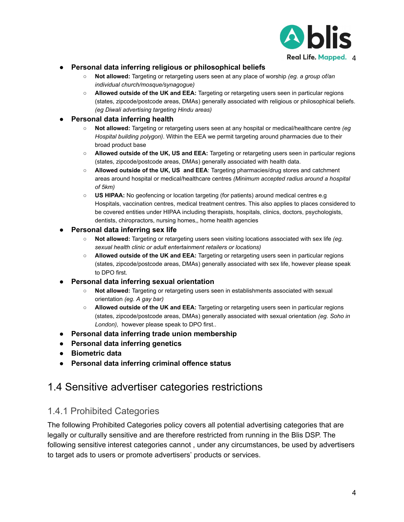

#### **● Personal data inferring religious or philosophical beliefs**

- **Not allowed:** Targeting or retargeting users seen at any place of worship *(eg. a group of/an individual church/mosque/synagogue)*
- **Allowed outside of the UK and EEA:** Targeting or retargeting users seen in particular regions (states, zipcode/postcode areas, DMAs) generally associated with religious or philosophical beliefs. *(eg Diwali advertising targeting Hindu areas)*

#### **● Personal data inferring health**

- **Not allowed:** Targeting or retargeting users seen at any hospital or medical/healthcare centre *(eg Hospital building polygon)*. Within the EEA we permit targeting around pharmacies due to their broad product base
- **Allowed outside of the UK, US and EEA:** Targeting or retargeting users seen in particular regions (states, zipcode/postcode areas, DMAs) generally associated with health data.
- **Allowed outside of the UK, US and EEA**: Targeting pharmacies/drug stores and catchment areas around hospital or medical/healthcare centres *(Minimum accepted radius around a hospital of 5km)*
- **○ US HIPAA:** No geofencing or location targeting (for patients) around medical centres e.g Hospitals, vaccination centres, medical treatment centres. This also applies to places considered to be covered entities under HIPAA including therapists, hospitals, clinics, doctors, psychologists, dentists, chiropractors, nursing homes,, home health agencies

#### ● **Personal data inferring sex life**

- **○ Not allowed:** Targeting or retargeting users seen visiting locations associated with sex life *(eg. sexual health clinic or adult entertainment retailers or locations)*
- **Allowed outside of the UK and EEA:** Targeting or retargeting users seen in particular regions (states, zipcode/postcode areas, DMAs) generally associated with sex life, however please speak to DPO first.

#### **● Personal data inferring sexual orientation**

- **Not allowed:** Targeting or retargeting users seen in establishments associated with sexual orientation *(eg. A gay bar)*
- **Allowed outside of the UK and EEA:** Targeting or retargeting users seen in particular regions (states, zipcode/postcode areas, DMAs) generally associated with sexual orientation *(eg. Soho in London),* however please speak to DPO first..
- **● Personal data inferring trade union membership**
- **● Personal data inferring genetics**
- **● Biometric data**
- **● Personal data inferring criminal offence status**

# <span id="page-3-0"></span>1.4 Sensitive advertiser categories restrictions

# <span id="page-3-1"></span>1.4.1 Prohibited Categories

The following Prohibited Categories policy covers all potential advertising categories that are legally or culturally sensitive and are therefore restricted from running in the Blis DSP. The following sensitive interest categories cannot , under any circumstances, be used by advertisers to target ads to users or promote advertisers' products or services.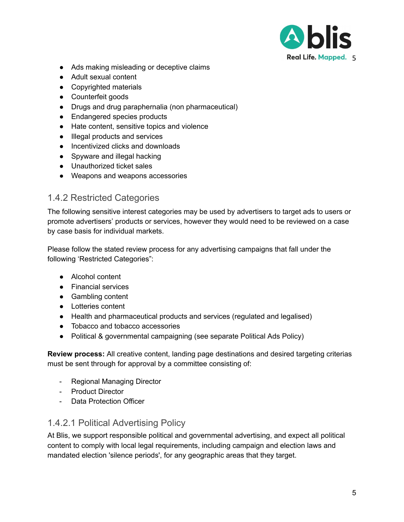

- Ads making misleading or deceptive claims
- Adult sexual content
- Copyrighted materials
- Counterfeit goods
- Drugs and drug paraphernalia (non pharmaceutical)
- Endangered species products
- Hate content, sensitive topics and violence
- Illegal products and services
- Incentivized clicks and downloads
- Spyware and illegal hacking
- Unauthorized ticket sales
- Weapons and weapons accessories

# <span id="page-4-0"></span>1.4.2 Restricted Categories

The following sensitive interest categories may be used by advertisers to target ads to users or promote advertisers' products or services, however they would need to be reviewed on a case by case basis for individual markets.

Please follow the stated review process for any advertising campaigns that fall under the following 'Restricted Categories":

- Alcohol content
- Financial services
- Gambling content
- Lotteries content
- Health and pharmaceutical products and services (regulated and legalised)
- Tobacco and tobacco accessories
- Political & governmental campaigning (see separate Political Ads Policy)

**Review process:** All creative content, landing page destinations and desired targeting criterias must be sent through for approval by a committee consisting of:

- Regional Managing Director
- Product Director
- Data Protection Officer

# <span id="page-4-1"></span>1.4.2.1 Political Advertising Policy

At Blis, we support responsible political and governmental advertising, and expect all political content to comply with local legal requirements, including campaign and election laws and mandated election 'silence periods', for any geographic areas that they target.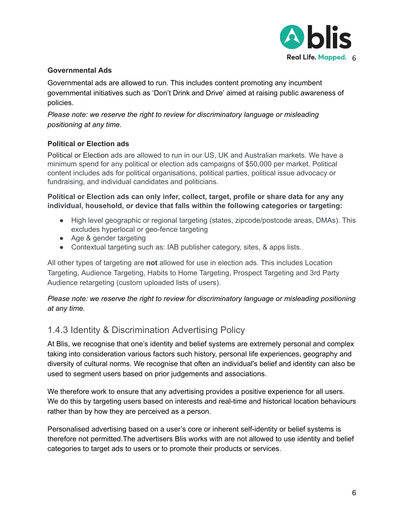

# **Governmental Ads**

Governmental ads are allowed to run. This includes content promoting any incumbent governmental initiatives such as 'Don't Drink and Drive' aimed at raising public awareness of policies.

# *Please note: we reserve the right to review for discriminatory language or misleading positioning at any time.*

## **Political or Election ads**

Political or Election ads are allowed to run in our US, UK and Australian markets. We have a minimum spend for any political or election ads campaigns of \$50,000 per market. Political content includes ads for political organisations, political parties, political issue advocacy or fundraising, and individual candidates and politicians.

#### **Political or Election ads can only infer, collect, target, profile or share data for any any individual, household, or device that falls within the following categories or targeting:**

- High level geographic or regional targeting (states, zipcode/postcode areas, DMAs). This excludes hyperlocal or geo-fence targeting
- Age & gender targeting
- Contextual targeting such as: IAB publisher category, sites, & apps lists.

All other types of targeting are **not** allowed for use in election ads. This includes Location Targeting, Audience Targeting, Habits to Home Targeting, Prospect Targeting and 3rd Party Audience retargeting (custom uploaded lists of users).

## *Please note: we reserve the right to review for discriminatory language or misleading positioning at any time.*

# <span id="page-5-0"></span>1.4.3 Identity & Discrimination Advertising Policy

At Blis, we recognise that one's identity and belief systems are extremely personal and complex taking into consideration various factors such history, personal life experiences, geography and diversity of cultural norms. We recognise that often an individual's belief and identity can also be used to segment users based on prior judgements and associations.

We therefore work to ensure that any advertising provides a positive experience for all users. We do this by targeting users based on interests and real-time and historical location behaviours rather than by how they are perceived as a person.

Personalised advertising based on a user's core or inherent self-identity or belief systems is therefore not permitted.The advertisers Blis works with are not allowed to use identity and belief categories to target ads to users or to promote their products or services.